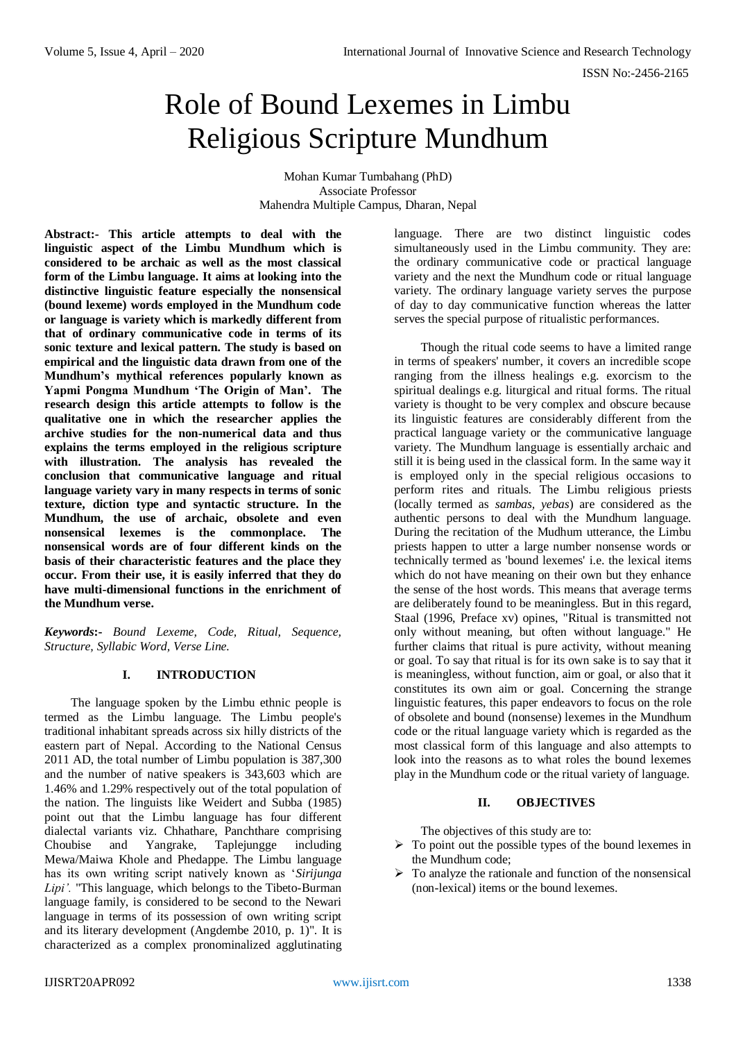# Role of Bound Lexemes in Limbu Religious Scripture Mundhum

Mohan Kumar Tumbahang (PhD) Associate Professor Mahendra Multiple Campus, Dharan, Nepal

**Abstract:- This article attempts to deal with the linguistic aspect of the Limbu Mundhum which is considered to be archaic as well as the most classical form of the Limbu language. It aims at looking into the distinctive linguistic feature especially the nonsensical (bound lexeme) words employed in the Mundhum code or language is variety which is markedly different from that of ordinary communicative code in terms of its sonic texture and lexical pattern. The study is based on empirical and the linguistic data drawn from one of the Mundhum's mythical references popularly known as Yapmi Pongma Mundhum 'The Origin of Man'. The research design this article attempts to follow is the qualitative one in which the researcher applies the archive studies for the non-numerical data and thus explains the terms employed in the religious scripture with illustration. The analysis has revealed the conclusion that communicative language and ritual language variety vary in many respects in terms of sonic texture, diction type and syntactic structure. In the Mundhum, the use of archaic, obsolete and even nonsensical lexemes is the commonplace. The nonsensical words are of four different kinds on the basis of their characteristic features and the place they occur. From their use, it is easily inferred that they do have multi-dimensional functions in the enrichment of the Mundhum verse.**

*Keywords***:-** *Bound Lexeme, Code, Ritual, Sequence, Structure, Syllabic Word, Verse Line.*

## **I. INTRODUCTION**

The language spoken by the Limbu ethnic people is termed as the Limbu language. The Limbu people's traditional inhabitant spreads across six hilly districts of the eastern part of Nepal. According to the National Census 2011 AD, the total number of Limbu population is 387,300 and the number of native speakers is 343,603 which are 1.46% and 1.29% respectively out of the total population of the nation. The linguists like Weidert and Subba (1985) point out that the Limbu language has four different dialectal variants viz. Chhathare, Panchthare comprising Choubise and Yangrake, Taplejungge including Mewa/Maiwa Khole and Phedappe. The Limbu language has its own writing script natively known as '*Sirijunga Lipi'.* "This language, which belongs to the Tibeto-Burman language family, is considered to be second to the Newari language in terms of its possession of own writing script and its literary development (Angdembe 2010, p. 1)". It is characterized as a complex pronominalized agglutinating language. There are two distinct linguistic codes simultaneously used in the Limbu community. They are: the ordinary communicative code or practical language variety and the next the Mundhum code or ritual language variety. The ordinary language variety serves the purpose of day to day communicative function whereas the latter serves the special purpose of ritualistic performances.

Though the ritual code seems to have a limited range in terms of speakers' number, it covers an incredible scope ranging from the illness healings e.g. exorcism to the spiritual dealings e.g. liturgical and ritual forms. The ritual variety is thought to be very complex and obscure because its linguistic features are considerably different from the practical language variety or the communicative language variety. The Mundhum language is essentially archaic and still it is being used in the classical form. In the same way it is employed only in the special religious occasions to perform rites and rituals. The Limbu religious priests (locally termed as *sambas, yebas*) are considered as the authentic persons to deal with the Mundhum language. During the recitation of the Mudhum utterance, the Limbu priests happen to utter a large number nonsense words or technically termed as 'bound lexemes' i.e. the lexical items which do not have meaning on their own but they enhance the sense of the host words. This means that average terms are deliberately found to be meaningless. But in this regard, Staal (1996, Preface xv) opines, "Ritual is transmitted not only without meaning, but often without language." He further claims that ritual is pure activity, without meaning or goal. To say that ritual is for its own sake is to say that it is meaningless, without function, aim or goal, or also that it constitutes its own aim or goal. Concerning the strange linguistic features, this paper endeavors to focus on the role of obsolete and bound (nonsense) lexemes in the Mundhum code or the ritual language variety which is regarded as the most classical form of this language and also attempts to look into the reasons as to what roles the bound lexemes play in the Mundhum code or the ritual variety of language.

#### **II. OBJECTIVES**

The objectives of this study are to:

- $\triangleright$  To point out the possible types of the bound lexemes in the Mundhum code;
- $\triangleright$  To analyze the rationale and function of the nonsensical (non-lexical) items or the bound lexemes.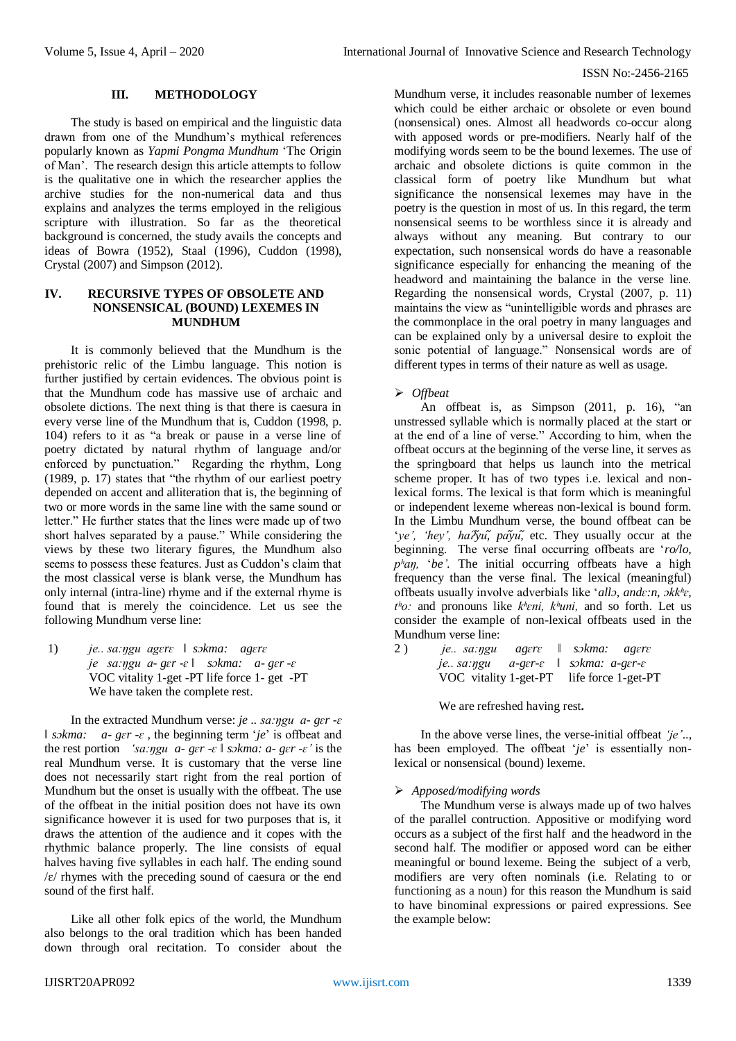#### **III. METHODOLOGY**

The study is based on empirical and the linguistic data drawn from one of the Mundhum's mythical references popularly known as *Yapmi Pongma Mundhum* 'The Origin of Man'. The research design this article attempts to follow is the qualitative one in which the researcher applies the archive studies for the non-numerical data and thus explains and analyzes the terms employed in the religious scripture with illustration. So far as the theoretical background is concerned, the study avails the concepts and ideas of Bowra (1952), Staal (1996), Cuddon (1998), Crystal (2007) and Simpson (2012).

## **IV. RECURSIVE TYPES OF OBSOLETE AND NONSENSICAL (BOUND) LEXEMES IN MUNDHUM**

It is commonly believed that the Mundhum is the prehistoric relic of the Limbu language. This notion is further justified by certain evidences. The obvious point is that the Mundhum code has massive use of archaic and obsolete dictions. The next thing is that there is caesura in every verse line of the Mundhum that is, Cuddon (1998, p. 104) refers to it as "a break or pause in a verse line of poetry dictated by natural rhythm of language and/or enforced by punctuation." Regarding the rhythm, Long (1989, p. 17) states that "the rhythm of our earliest poetry depended on accent and alliteration that is, the beginning of two or more words in the same line with the same sound or letter." He further states that the lines were made up of two short halves separated by a pause." While considering the views by these two literary figures, the Mundhum also seems to possess these features. Just as Cuddon's claim that the most classical verse is blank verse, the Mundhum has only internal (intra-line) rhyme and if the external rhyme is found that is merely the coincidence. Let us see the following Mundhum verse line:

1) *je.. sa:ŋgu agɛrɛ ǁ sɔkma: agɛrɛ je sa:ŋgu a- gɛr -ɛ ǁ sɔkma: a- gɛr -ɛ* VOC vitality 1-get -PT life force 1- get -PT We have taken the complete rest.

In the extracted Mundhum verse: *je .. sa:ŋgu a- gɛr -ɛ ǁ sɔkma: a- gɛr -ɛ* , the beginning term '*je*' is offbeat and the rest portion *'sa:ŋgu a- gɛr -ɛ ǁ sɔkma: a- gɛr -ɛ'* is the real Mundhum verse. It is customary that the verse line does not necessarily start right from the real portion of Mundhum but the onset is usually with the offbeat. The use of the offbeat in the initial position does not have its own significance however it is used for two purposes that is, it draws the attention of the audience and it copes with the rhythmic balance properly. The line consists of equal halves having five syllables in each half. The ending sound  $\sqrt{\epsilon}$  rhymes with the preceding sound of caesura or the end sound of the first half.

Like all other folk epics of the world, the Mundhum also belongs to the oral tradition which has been handed down through oral recitation. To consider about the

Mundhum verse, it includes reasonable number of lexemes which could be either archaic or obsolete or even bound (nonsensical) ones. Almost all headwords co-occur along with apposed words or pre-modifiers. Nearly half of the modifying words seem to be the bound lexemes. The use of archaic and obsolete dictions is quite common in the classical form of poetry like Mundhum but what significance the nonsensical lexemes may have in the poetry is the question in most of us. In this regard, the term nonsensical seems to be worthless since it is already and always without any meaning. But contrary to our expectation, such nonsensical words do have a reasonable significance especially for enhancing the meaning of the headword and maintaining the balance in the verse line. Regarding the nonsensical words, Crystal (2007, p. 11) maintains the view as "unintelligible words and phrases are the commonplace in the oral poetry in many languages and can be explained only by a universal desire to exploit the sonic potential of language." Nonsensical words are of different types in terms of their nature as well as usage.

## *Offbeat*

An offbeat is, as Simpson (2011, p. 16), "an unstressed syllable which is normally placed at the start or at the end of a line of verse." According to him, when the offbeat occurs at the beginning of the verse line, it serves as the springboard that helps us launch into the metrical scheme proper. It has of two types i.e. lexical and nonlexical forms. The lexical is that form which is meaningful or independent lexeme whereas non-lexical is bound form. In the Limbu Mundhum verse, the bound offbeat can be '*ye', 'hey', ha* $\gamma u$ ,  $p \tilde{a} \gamma u$ , etc. They usually occur at the beginning. The verse final occurring offbeats are '*ro/lo, pʰaŋ,* '*be'.* The initial occurring offbeats have a high frequency than the verse final. The lexical (meaningful) offbeats usually involve adverbials like '*allɔ, andɛ:n, ɔkkʰɛ, tʰo:* and pronouns like *kʰɛni, kʰuni,* and so forth. Let us consider the example of non-lexical offbeats used in the Mundhum verse line:

2 ) *je.. sa:ŋgu agɛrɛ ǁ sɔkma: agɛrɛ je.. sa:ŋgu a-gɛr-ɛ ǁ sɔkma: a-gɛr-ɛ* VOC vitality 1-get-PT life force 1-get-PT

We are refreshed having rest**.**

In the above verse lines, the verse-initial offbeat *'je'*.., has been employed. The offbeat '*je*' is essentially nonlexical or nonsensical (bound) lexeme.

## *Apposed/modifying words*

The Mundhum verse is always made up of two halves of the parallel contruction. Appositive or modifying word occurs as a subject of the first half and the headword in the second half. The modifier or apposed word can be either meaningful or bound lexeme. Being the subject of a verb, modifiers are very often nominals (i.e. Relating to or functioning as a noun) for this reason the Mundhum is said to have binominal expressions or paired expressions. See the example below: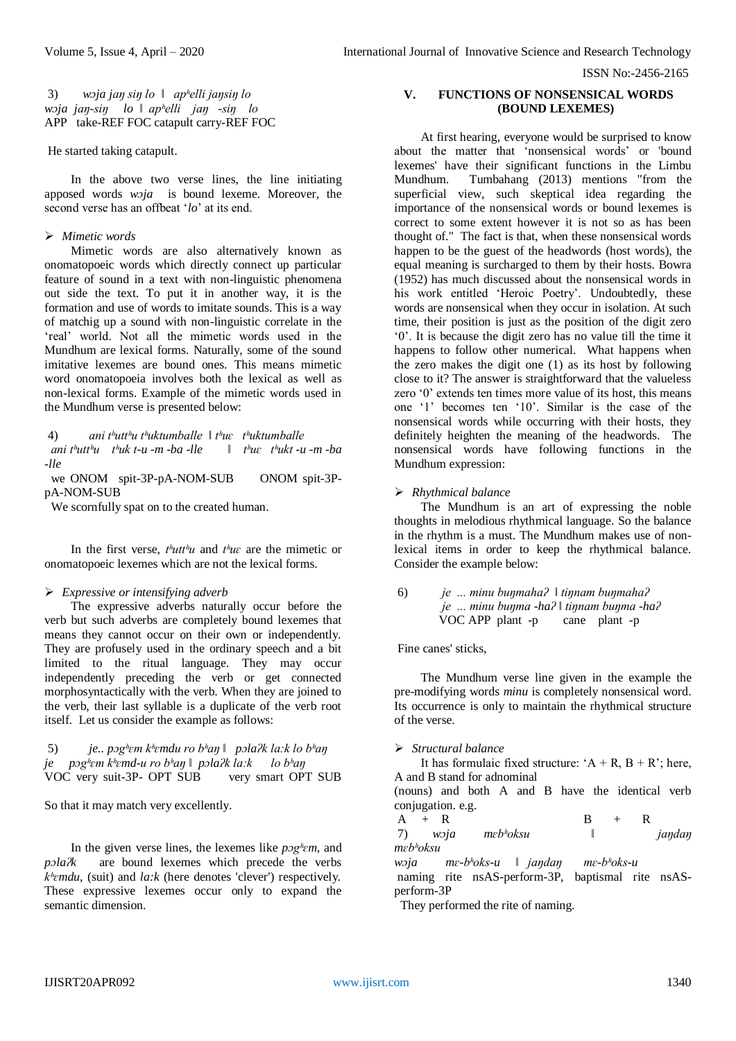3) *wɔja jaŋ siŋ lo ǁ apʰelli jaŋsiŋ lo wɔja jaŋ-siŋ lo ǁ apʰelli jaŋ -siŋ lo* APP take-REF FOC catapult carry-REF FOC

He started taking catapult.

In the above two verse lines, the line initiating apposed words *wɔja* is bound lexeme. Moreover, the second verse has an offbeat '*lo*' at its end.

## *Mimetic words*

Mimetic words are also alternatively known as onomatopoeic words which directly connect up particular feature of sound in a text with non-linguistic phenomena out side the text. To put it in another way, it is the formation and use of words to imitate sounds. This is a way of matchig up a sound with non-linguistic correlate in the 'real' world. Not all the mimetic words used in the Mundhum are lexical forms. Naturally, some of the sound imitative lexemes are bound ones. This means mimetic word onomatopoeia involves both the lexical as well as non-lexical forms. Example of the mimetic words used in the Mundhum verse is presented below:

4) *ani tʰuttʰu tʰuktumballe ǁ tʰuɛ tʰuktumballe ani tʰuttʰu tʰuk t-u -m -ba -lle ǁ tʰuɛ tʰukt -u -m -ba -lle*

 we ONOM spit-3P-pA-NOM-SUB ONOM spit-3PpA-NOM-SUB

We scornfully spat on to the created human.

In the first verse, *tʰuttʰu* and *tʰuɛ* are the mimetic or onomatopoeic lexemes which are not the lexical forms.

#### *Expressive or intensifying adverb*

The expressive adverbs naturally occur before the verb but such adverbs are completely bound lexemes that means they cannot occur on their own or independently. They are profusely used in the ordinary speech and a bit limited to the ritual language. They may occur independently preceding the verb or get connected morphosyntactically with the verb. When they are joined to the verb, their last syllable is a duplicate of the verb root itself. Let us consider the example as follows:

5) *je.. pɔgʰɛm kʰɛmdu ro bʰaŋ ǁ pɔlaʔk la:k lo bʰaŋ je pɔgʰɛm kʰɛmd-u ro bʰaŋ ǁ pɔlaʔk la:k lo bʰaŋ* VOC very suit-3P- OPT SUB very smart OPT SUB

So that it may match very excellently.

In the given verse lines, the lexemes like *pɔgʰɛm,* and *pɔlaʔk* are bound lexemes which precede the verbs *kʰɛmdu*, (suit) and *la:k* (here denotes 'clever') respectively*.* These expressive lexemes occur only to expand the semantic dimension.

# **V. FUNCTIONS OF NONSENSICAL WORDS (BOUND LEXEMES)**

At first hearing, everyone would be surprised to know about the matter that 'nonsensical words' or 'bound lexemes' have their significant functions in the Limbu Mundhum. Tumbahang (2013) mentions "from the superficial view, such skeptical idea regarding the importance of the nonsensical words or bound lexemes is correct to some extent however it is not so as has been thought of." The fact is that, when these nonsensical words happen to be the guest of the headwords (host words), the equal meaning is surcharged to them by their hosts. Bowra (1952) has much discussed about the nonsensical words in his work entitled 'Heroic Poetry'. Undoubtedly, these words are nonsensical when they occur in isolation. At such time, their position is just as the position of the digit zero '0'. It is because the digit zero has no value till the time it happens to follow other numerical. What happens when the zero makes the digit one (1) as its host by following close to it? The answer is straightforward that the valueless zero '0' extends ten times more value of its host, this means one '1' becomes ten '10'. Similar is the case of the nonsensical words while occurring with their hosts, they definitely heighten the meaning of the headwords. The nonsensical words have following functions in the Mundhum expression:

*Rhythmical balance* 

The Mundhum is an art of expressing the noble thoughts in melodious rhythmical language. So the balance in the rhythm is a must. The Mundhum makes use of nonlexical items in order to keep the rhythmical balance. Consider the example below:

#### 6) *je ... minu buŋmahaʔ ǁ tiŋnam buŋmahaʔ je ... minu buŋma -haʔ ǁ tiŋnam buŋma -haʔ*  $VOC$  APP plant -p

Fine canes' sticks,

The Mundhum verse line given in the example the pre-modifying words *minu* is completely nonsensical word. Its occurrence is only to maintain the rhythmical structure of the verse.

## *Structural balance*

It has formulaic fixed structure: ' $A + R$ ,  $B + R$ '; here, A and B stand for adnominal (nouns) and both A and B have the identical verb

conjugation. e.g.  $A + R$  B + R 7) *wɔja mɛbʰoksu ǁ jaŋdaŋ mɛbʰoksu*

*wɔja mɛ-bʰoks-u ǁ jaŋdaŋ mɛ-bʰoks-u* naming rite nsAS-perform-3P, baptismal rite nsASperform-3P

They performed the rite of naming.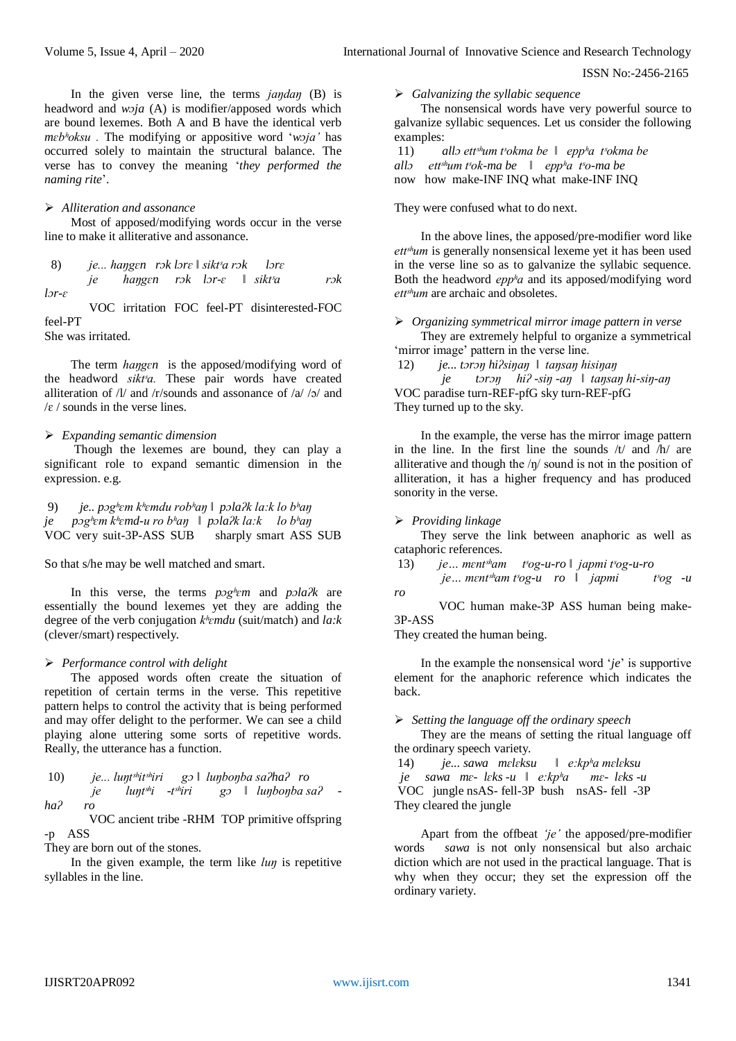In the given verse line, the terms *jaŋdaŋ* (B) is headword and *wɔja* (A) is modifier/apposed words which are bound lexemes. Both A and B have the identical verb *mɛbʰoksu .* The modifying or appositive word '*wɔja'* has occurred solely to maintain the structural balance. The verse has to convey the meaning '*they performed the naming rite*'.

#### *Alliteration and assonance*

Most of apposed/modifying words occur in the verse line to make it alliterative and assonance.

8) *je... haŋgɛn rɔk lɔrɛ ǁ siktˢa rɔk lɔrɛ*

*je haŋgɛn rɔk lɔr-ɛ ǁ siktˢa rɔk lɔr-ɛ*

VOC irritation FOC feel-PT disinterested-FOC feel-PT

She was irritated.

The term *haŋgɛn* is the apposed/modifying word of the headword *sikt<sup>s</sup>a*. These pair words have created alliteration of  $\frac{1}{4}$  and  $\frac{1}{2}$  / and assonance of  $\frac{1}{2}$  /  $\frac{1}{2}$  and  $\sqrt{\epsilon}$  / sounds in the verse lines.

#### *Expanding semantic dimension*

Though the lexemes are bound, they can play a significant role to expand semantic dimension in the expression. e.g.

9) *je.. pɔgʰɛm kʰɛmdu robʰaŋ ǁ pɔlaʔk la:k lo bʰaŋ je pɔgʰɛm kʰɛmd-u ro bʰaŋ ǁ pɔlaʔk la:k lo bʰaŋ* VOC very suit-3P-ASS SUB sharply smart ASS SUB

So that s/he may be well matched and smart.

In this verse, the terms *pɔgʰɛm* and *pɔlaʔk* are essentially the bound lexemes yet they are adding the degree of the verb conjugation *kʰɛmdu* (suit/match) and *la:k*  (clever/smart) respectively*.*

## *Performance control with delight*

The apposed words often create the situation of repetition of certain terms in the verse. This repetitive pattern helps to control the activity that is being performed and may offer delight to the performer. We can see a child playing alone uttering some sorts of repetitive words. Really, the utterance has a function.

10) *je...* 
$$
lupt^{\text{sh}}it^{\text{sh}}\vec{i}
$$
 *gs*  $\parallel$  *lupbopba sa2ha2 ro*  
*ja*  $lupt^{\text{sh}}\vec{i}$  *-t*<sup>sh</sup>*iri gs*  $\parallel$  *lupbopba sa2 -*  
*ha2 ro*

VOC ancient tribe -RHM TOP primitive offspring -p ASS

They are born out of the stones.

In the given example, the term like *luŋ* is repetitive syllables in the line.

*Galvanizing the syllabic sequence*

The nonsensical words have very powerful source to galvanize syllabic sequences. Let us consider the following examples:

11) *allɔ ettˢʰum tˢokma be ǁ eppʰa tˢokma be allɔ ettˢʰum tˢok-ma be ǁ eppʰa tˢo-ma be* now how make-INF INQ what make-INF INQ

They were confused what to do next.

In the above lines, the apposed/pre-modifier word like ett<sup>sh</sup>um is generally nonsensical lexeme yet it has been used in the verse line so as to galvanize the syllabic sequence. Both the headword *eppʰa* and its apposed/modifying word ett<sup>shum</sup> are archaic and obsoletes.

 *Organizing symmetrical mirror image pattern in verse*  They are extremely helpful to organize a symmetrical 'mirror image' pattern in the verse line.

12) *je... tɔrɔŋ hiʔsiŋaŋ ǁ taŋsaŋ hisiŋaŋ je tɔrɔŋ hiʔ -siŋ -aŋ ǁ taŋsaŋ hi-siŋ-aŋ* VOC paradise turn-REF-pfG sky turn-REF-pfG They turned up to the sky.

In the example, the verse has the mirror image pattern in the line. In the first line the sounds  $/t/$  and  $/h/$  are alliterative and though the  $/\eta$  sound is not in the position of alliteration, it has a higher frequency and has produced sonority in the verse.

#### *Providing linkage*

They serve the link between anaphoric as well as cataphoric references.

13) *je… mɛntˢʰam tˢog-u-ro ǁ japmi tˢog-u-ro*

*je… mɛntˢʰam tˢog-u ro ǁ japmi tˢog -u ro*

VOC human make-3P ASS human being make-3P-ASS

They created the human being.

In the example the nonsensical word '*je*' is supportive element for the anaphoric reference which indicates the back.

*Setting the language off the ordinary speech*

They are the means of setting the ritual language off the ordinary speech variety.

14) *je... sawa mɛlɛksu ǁ e:kpʰa mɛlɛksu je sawa mɛ- lɛks -u ǁ e:kpʰa mɛ- lɛks -u* VOC jungle nsAS- fell-3P bush nsAS- fell -3P They cleared the jungle

Apart from the offbeat *'je'* the apposed/pre-modifier words *sawa* is not only nonsensical but also archaic diction which are not used in the practical language. That is why when they occur; they set the expression off the ordinary variety.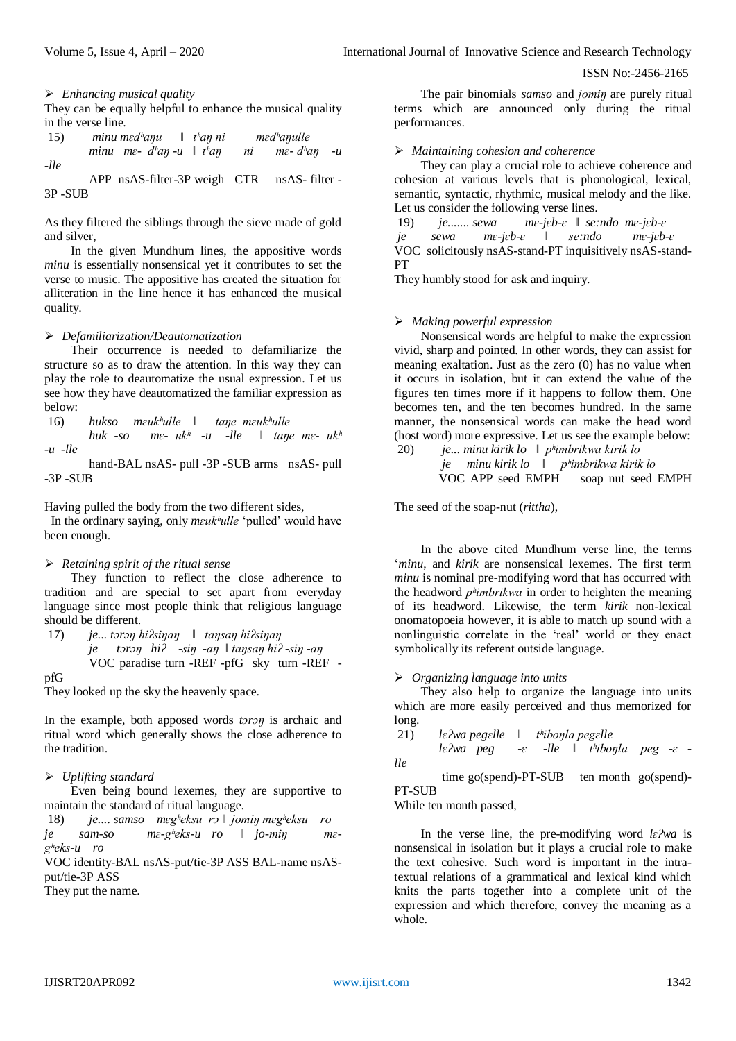*Enhancing musical quality* 

They can be equally helpful to enhance the musical quality in the verse line.

| 15)  | minu med <sup>h</sup> anu $\parallel$ t <sup>h</sup> an ni |  | med <sup>h</sup> anulle |                            |  |
|------|------------------------------------------------------------|--|-------------------------|----------------------------|--|
| -lle | minu me- d <sup>h</sup> an-u $\parallel th$ an             |  |                         | ni me-d <sup>h</sup> an -u |  |
|      | APP nsAS-filter-3P weigh CTR nsAS-filter -                 |  |                         |                            |  |

3P -SUB

As they filtered the siblings through the sieve made of gold and silver,

In the given Mundhum lines, the appositive words *minu* is essentially nonsensical yet it contributes to set the verse to music. The appositive has created the situation for alliteration in the line hence it has enhanced the musical quality.

## *Defamiliarization/Deautomatization*

Their occurrence is needed to defamiliarize the structure so as to draw the attention. In this way they can play the role to deautomatize the usual expression. Let us see how they have deautomatized the familiar expression as below:

16) *hukso mɛukʰulle ǁ taŋe mɛukʰulle*

*huk -so mɛ- ukʰ -u -lle ǁ taŋe mɛ- ukʰ -u -lle*

hand-BAL nsAS- pull -3P -SUB arms nsAS- pull -3P -SUB

Having pulled the body from the two different sides,

In the ordinary saying, only *mɛukʰulle* 'pulled' would have been enough.

# *Retaining spirit of the ritual sense*

They function to reflect the close adherence to tradition and are special to set apart from everyday language since most people think that religious language should be different.

17) *je... tɔrɔŋ hiʔsiŋaŋ ǁ taŋsaŋ hiʔsiŋaŋ je tɔrɔŋ hiʔ -siŋ -aŋ ǁ taŋsaŋ hiʔ -siŋ -aŋ* VOC paradise turn -REF -pfG sky turn -REF pfG

They looked up the sky the heavenly space.

In the example, both apposed words *tɔrɔŋ* is archaic and ritual word which generally shows the close adherence to the tradition.

# *Uplifting standard*

Even being bound lexemes, they are supportive to maintain the standard of ritual language.

18) *je.... samso mɛgʰeksu rɔ ǁ jomiŋ mɛgʰeksu ro je sam-so mɛ-gʰeks-u ro ǁ jo-miŋ mɛgʰeks-u ro*

VOC identity-BAL nsAS-put/tie-3P ASS BAL-name nsASput/tie-3P ASS

They put the name.

The pair binomials *samso* and *jomiŋ* are purely ritual terms which are announced only during the ritual performances.

# *Maintaining cohesion and coherence*

They can play a crucial role to achieve coherence and cohesion at various levels that is phonological, lexical, semantic, syntactic, rhythmic, musical melody and the like. Let us consider the following verse lines.

19) *je....... sewa mɛ-jɛb-ɛ ǁ se:ndo mɛ-jɛb-ɛ je sewa mɛ-jɛb-ɛ ǁ se:ndo mɛ-jɛb-ɛ* VOC solicitously nsAS-stand-PT inquisitively nsAS-stand-PT

They humbly stood for ask and inquiry.

# *Making powerful expression*

Nonsensical words are helpful to make the expression vivid, sharp and pointed. In other words, they can assist for meaning exaltation. Just as the zero (0) has no value when it occurs in isolation, but it can extend the value of the figures ten times more if it happens to follow them. One becomes ten, and the ten becomes hundred. In the same manner, the nonsensical words can make the head word (host word) more expressive. Let us see the example below:

20) *je... minu kirik lo ǁ pʰimbrikwa kirik lo je minu kirik lo ǁ pʰimbrikwa kirik lo* VOC APP seed EMPH soap nut seed EMPH

The seed of the soap-nut (*rittha*),

In the above cited Mundhum verse line, the terms '*minu*, and *kirik* are nonsensical lexemes. The first term *minu* is nominal pre-modifying word that has occurred with the headword *pʰimbrikwa* in order to heighten the meaning of its headword. Likewise, the term *kirik* non-lexical onomatopoeia however, it is able to match up sound with a nonlinguistic correlate in the 'real' world or they enact symbolically its referent outside language.

## *Organizing language into units*

They also help to organize the language into units which are more easily perceived and thus memorized for long.

21) *lɛʔwa pegɛlle ǁ tʰiboŋla pegɛlle*

*lɛʔwa peg -ɛ -lle ǁ tʰiboŋla peg -ɛ lle*

time go(spend)-PT-SUB ten month go(spend)-PT-SUB

While ten month passed,

In the verse line, the pre-modifying word *lɛʔwa* is nonsensical in isolation but it plays a crucial role to make the text cohesive. Such word is important in the intratextual relations of a grammatical and lexical kind which knits the parts together into a complete unit of the expression and which therefore, convey the meaning as a whole.